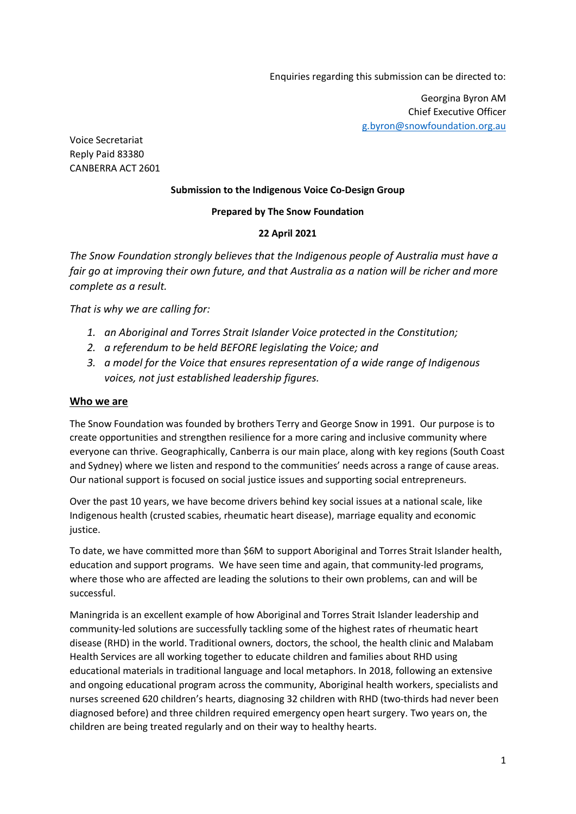Enquiries regarding this submission can be directed to:

Georgina Byron AM Chief Executive Officer g.byron@snowfoundation.org.au

Voice Secretariat Reply Paid 83380 CANBERRA ACT 2601

#### **Submission to the Indigenous Voice Co-Design Group**

#### **Prepared by The Snow Foundation**

#### **22 April 2021**

*The Snow Foundation strongly believes that the Indigenous people of Australia must have a fair go at improving their own future, and that Australia as a nation will be richer and more complete as a result.* 

*That is why we are calling for:* 

- *1. an Aboriginal and Torres Strait Islander Voice protected in the Constitution;*
- *2. a referendum to be held BEFORE legislating the Voice; and*
- *3. a model for the Voice that ensures representation of a wide range of Indigenous voices, not just established leadership figures.*

#### **Who we are**

The Snow Foundation was founded by brothers Terry and George Snow in 1991. Our purpose is to create opportunities and strengthen resilience for a more caring and inclusive community where everyone can thrive. Geographically, Canberra is our main place, along with key regions (South Coast and Sydney) where we listen and respond to the communities' needs across a range of cause areas. Our national support is focused on social justice issues and supporting social entrepreneurs.

Over the past 10 years, we have become drivers behind key social issues at a national scale, like Indigenous health (crusted scabies, rheumatic heart disease), marriage equality and economic justice.

To date, we have committed more than \$6M to support Aboriginal and Torres Strait Islander health, education and support programs. We have seen time and again, that community-led programs, where those who are affected are leading the solutions to their own problems, can and will be successful.

Maningrida is an excellent example of how Aboriginal and Torres Strait Islander leadership and community-led solutions are successfully tackling some of the highest rates of rheumatic heart disease (RHD) in the world. Traditional owners, doctors, the school, the health clinic and Malabam Health Services are all working together to educate children and families about RHD using educational materials in traditional language and local metaphors. In 2018, following an extensive and ongoing educational program across the community, Aboriginal health workers, specialists and nurses screened 620 children's hearts, diagnosing 32 children with RHD (two-thirds had never been diagnosed before) and three children required emergency open heart surgery. Two years on, the children are being treated regularly and on their way to healthy hearts.